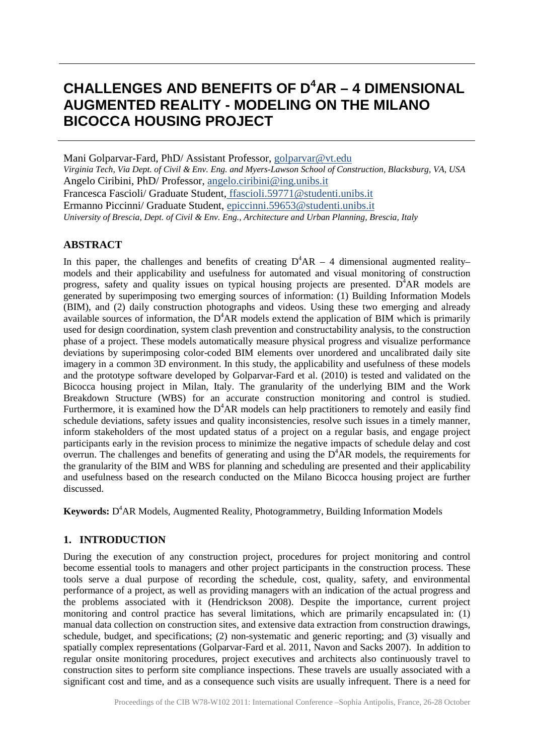# **CHALLENGES AND BENEFITS OF D<sup>4</sup> AR – 4 DIMENSIONAL AUGMENTED REALITY - MODELING ON THE MILANO BICOCCA HOUSING PROJECT**

Mani Golparvar-Fard, PhD/ Assistant Professor, [golparvar@vt.edu](mailto:golparvar@vt.edu) *Virginia Tech, Via Dept. of Civil & Env. Eng. and Myers-Lawson School of Construction, Blacksburg, VA, USA* Angelo Ciribini, PhD/ Professor, [angelo.ciribini@ing.unibs.it](mailto:angelo.ciribini@ing.unibs.it) Francesca Fascioli/ Graduate Student, [ffascioli.59771@studenti.unibs.it](mailto:ffascioli.59771@studenti.unibs.it) Ermanno Piccinni/ Graduate Student, [epiccinni.59653@studenti.unibs.it](mailto:epiccinni.59653@studenti.unibs.it) *University of Brescia, Dept. of Civil & Env. Eng., Architecture and Urban Planning, Brescia, Italy*

#### **ABSTRACT**

In this paper, the challenges and benefits of creating  $D^4AR - 4$  dimensional augmented realitymodels and their applicability and usefulness for automated and visual monitoring of construction progress, safety and quality issues on typical housing projects are presented.  $D<sup>4</sup>AR$  models are generated by superimposing two emerging sources of information: (1) Building Information Models (BIM), and (2) daily construction photographs and videos. Using these two emerging and already available sources of information, the  $D^4AR$  models extend the application of BIM which is primarily used for design coordination, system clash prevention and constructability analysis, to the construction phase of a project. These models automatically measure physical progress and visualize performance deviations by superimposing color-coded BIM elements over unordered and uncalibrated daily site imagery in a common 3D environment. In this study, the applicability and usefulness of these models and the prototype software developed by Golparvar-Fard et al. (2010) is tested and validated on the Bicocca housing project in Milan, Italy. The granularity of the underlying BIM and the Work Breakdown Structure (WBS) for an accurate construction monitoring and control is studied. Furthermore, it is examined how the  $D^4AR$  models can help practitioners to remotely and easily find schedule deviations, safety issues and quality inconsistencies, resolve such issues in a timely manner, inform stakeholders of the most updated status of a project on a regular basis, and engage project participants early in the revision process to minimize the negative impacts of schedule delay and cost overrun. The challenges and benefits of generating and using the  $D^4AR$  models, the requirements for the granularity of the BIM and WBS for planning and scheduling are presented and their applicability and usefulness based on the research conducted on the Milano Bicocca housing project are further discussed.

Keywords: D<sup>4</sup>AR Models, Augmented Reality, Photogrammetry, Building Information Models

# **1. INTRODUCTION**

During the execution of any construction project, procedures for project monitoring and control become essential tools to managers and other project participants in the construction process. These tools serve a dual purpose of recording the schedule, cost, quality, safety, and environmental performance of a project, as well as providing managers with an indication of the actual progress and the problems associated with it (Hendrickson 2008). Despite the importance, current project monitoring and control practice has several limitations, which are primarily encapsulated in: (1) manual data collection on construction sites, and extensive data extraction from construction drawings, schedule, budget, and specifications; (2) non-systematic and generic reporting; and (3) visually and spatially complex representations (Golparvar-Fard et al. 2011, Navon and Sacks 2007). In addition to regular onsite monitoring procedures, project executives and architects also continuously travel to construction sites to perform site compliance inspections. These travels are usually associated with a significant cost and time, and as a consequence such visits are usually infrequent. There is a need for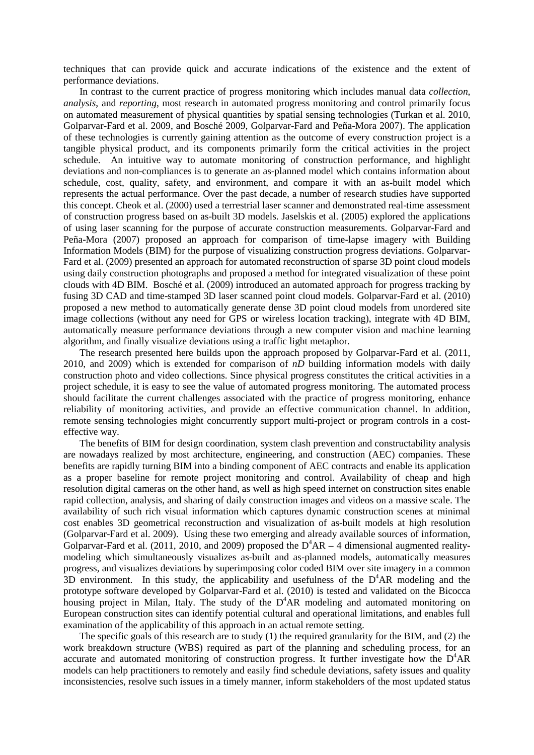techniques that can provide quick and accurate indications of the existence and the extent of performance deviations.

In contrast to the current practice of progress monitoring which includes manual data *collection*, *analysis*, and *reporting*, most research in automated progress monitoring and control primarily focus on automated measurement of physical quantities by spatial sensing technologies (Turkan et al. 2010, Golparvar-Fard et al. 2009, and Bosché 2009, Golparvar-Fard and Peña-Mora 2007). The application of these technologies is currently gaining attention as the outcome of every construction project is a tangible physical product, and its components primarily form the critical activities in the project schedule. An intuitive way to automate monitoring of construction performance, and highlight deviations and non-compliances is to generate an as-planned model which contains information about schedule, cost, quality, safety, and environment, and compare it with an as-built model which represents the actual performance. Over the past decade, a number of research studies have supported this concept. Cheok et al. (2000) used a terrestrial laser scanner and demonstrated real-time assessment of construction progress based on as-built 3D models. Jaselskis et al. (2005) explored the applications of using laser scanning for the purpose of accurate construction measurements. Golparvar-Fard and Peña-Mora (2007) proposed an approach for comparison of time-lapse imagery with Building Information Models (BIM) for the purpose of visualizing construction progress deviations. Golparvar-Fard et al. (2009) presented an approach for automated reconstruction of sparse 3D point cloud models using daily construction photographs and proposed a method for integrated visualization of these point clouds with 4D BIM. Bosché et al. (2009) introduced an automated approach for progress tracking by fusing 3D CAD and time-stamped 3D laser scanned point cloud models. Golparvar-Fard et al. (2010) proposed a new method to automatically generate dense 3D point cloud models from unordered site image collections (without any need for GPS or wireless location tracking), integrate with 4D BIM, automatically measure performance deviations through a new computer vision and machine learning algorithm, and finally visualize deviations using a traffic light metaphor.

The research presented here builds upon the approach proposed by Golparvar-Fard et al. (2011, 2010, and 2009) which is extended for comparison of *nD* building information models with daily construction photo and video collections. Since physical progress constitutes the critical activities in a project schedule, it is easy to see the value of automated progress monitoring. The automated process should facilitate the current challenges associated with the practice of progress monitoring, enhance reliability of monitoring activities, and provide an effective communication channel. In addition, remote sensing technologies might concurrently support multi-project or program controls in a costeffective way.

The benefits of BIM for design coordination, system clash prevention and constructability analysis are nowadays realized by most architecture, engineering, and construction (AEC) companies. These benefits are rapidly turning BIM into a binding component of AEC contracts and enable its application as a proper baseline for remote project monitoring and control. Availability of cheap and high resolution digital cameras on the other hand, as well as high speed internet on construction sites enable rapid collection, analysis, and sharing of daily construction images and videos on a massive scale. The availability of such rich visual information which captures dynamic construction scenes at minimal cost enables 3D geometrical reconstruction and visualization of as-built models at high resolution (Golparvar-Fard et al. 2009). Using these two emerging and already available sources of information, Golparvar-Fard et al. (2011, 2010, and 2009) proposed the  $D^4AR - 4$  dimensional augmented realitymodeling which simultaneously visualizes as-built and as-planned models, automatically measures progress, and visualizes deviations by superimposing color coded BIM over site imagery in a common  $3D$  environment. In this study, the applicability and usefulness of the  $D<sup>4</sup>AR$  modeling and the prototype software developed by Golparvar-Fard et al. (2010) is tested and validated on the Bicocca housing project in Milan, Italy. The study of the  $D^4AR$  modeling and automated monitoring on European construction sites can identify potential cultural and operational limitations, and enables full examination of the applicability of this approach in an actual remote setting.

The specific goals of this research are to study (1) the required granularity for the BIM, and (2) the work breakdown structure (WBS) required as part of the planning and scheduling process, for an accurate and automated monitoring of construction progress. It further investigate how the  $D^4AR$ models can help practitioners to remotely and easily find schedule deviations, safety issues and quality inconsistencies, resolve such issues in a timely manner, inform stakeholders of the most updated status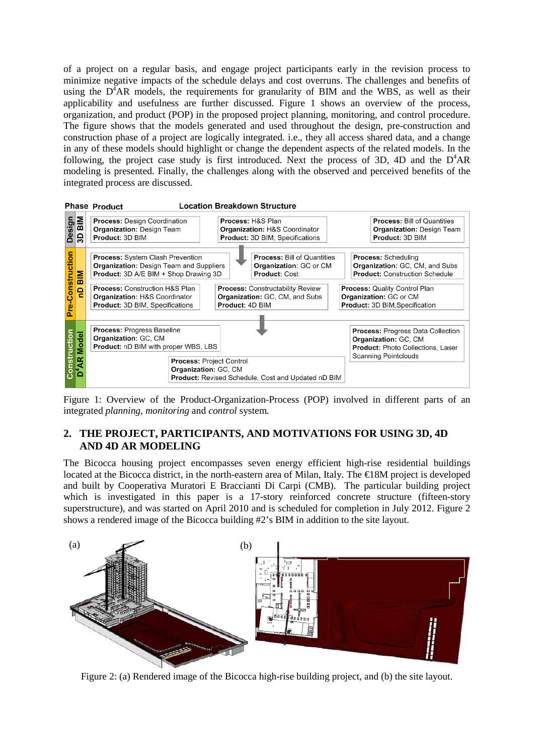of a project on a regular basis, and engage project participants early in the revision process to minimize negative impacts of the schedule delays and cost overruns. The challenges and benefits of using the  $D^4AR$  models, the requirements for granularity of BIM and the WBS, as well as their applicability and usefulness are further discussed. Figure 1 shows an overview of the process, organization, and product (POP) in the proposed project planning, monitoring, and control procedure. The figure shows that the models generated and used throughout the design, pre-construction and construction phase of a project are logically integrated. i.e., they all access shared data, and a change in any of these models should highlight or change the dependent aspects of the related models. In the following, the project case study is first introduced. Next the process of 3D, 4D and the  $D^4AR$ modeling is presented. Finally, the challenges along with the observed and perceived benefits of the integrated process are discussed.



Figure 1: Overview of the Product-Organization-Process (POP) involved in different parts of an integrated *planning*, *monitoring* and *control* system.

# **2. THE PROJECT, PARTICIPANTS, AND MOTIVATIONS FOR USING 3D, 4D AND 4D AR MODELING**

The Bicocca housing project encompasses seven energy efficient high-rise residential buildings located at the Bicocca district, in the north-eastern area of Milan, Italy. The €18M project is developed and built by Cooperativa Muratori E Braccianti Di Carpi (CMB). The particular building project which is investigated in this paper is a 17-story reinforced concrete structure (fifteen-story superstructure), and was started on April 2010 and is scheduled for completion in July 2012. Figure 2 shows a rendered image of the Bicocca building #2's BIM in addition to the site layout.



Figure 2: (a) Rendered image of the Bicocca high-rise building project, and (b) the site layout.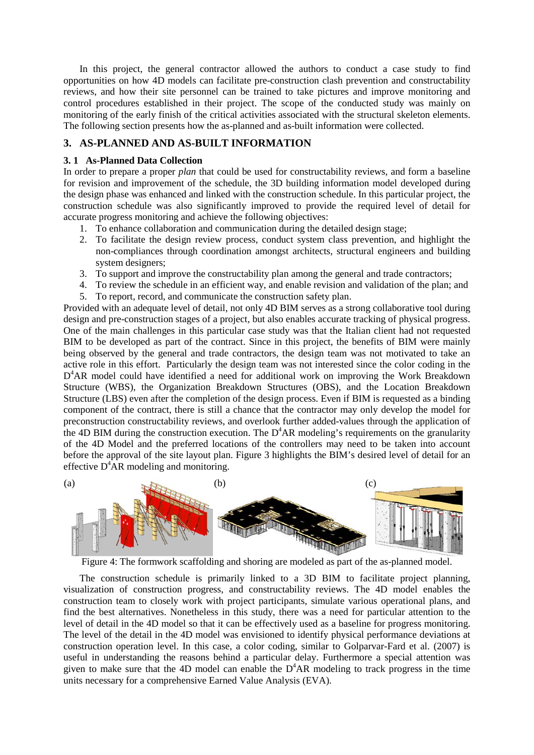In this project, the general contractor allowed the authors to conduct a case study to find opportunities on how 4D models can facilitate pre-construction clash prevention and constructability reviews, and how their site personnel can be trained to take pictures and improve monitoring and control procedures established in their project. The scope of the conducted study was mainly on monitoring of the early finish of the critical activities associated with the structural skeleton elements. The following section presents how the as-planned and as-built information were collected.

### **3. AS-PLANNED AND AS-BUILT INFORMATION**

#### **3. 1 As-Planned Data Collection**

In order to prepare a proper *plan* that could be used for constructability reviews, and form a baseline for revision and improvement of the schedule, the 3D building information model developed during the design phase was enhanced and linked with the construction schedule. In this particular project, the construction schedule was also significantly improved to provide the required level of detail for accurate progress monitoring and achieve the following objectives:

- 1. To enhance collaboration and communication during the detailed design stage;
- 2. To facilitate the design review process, conduct system class prevention, and highlight the non-compliances through coordination amongst architects, structural engineers and building system designers;
- 3. To support and improve the constructability plan among the general and trade contractors;
- 4. To review the schedule in an efficient way, and enable revision and validation of the plan; and
- 5. To report, record, and communicate the construction safety plan.

Provided with an adequate level of detail, not only 4D BIM serves as a strong collaborative tool during design and pre-construction stages of a project, but also enables accurate tracking of physical progress. One of the main challenges in this particular case study was that the Italian client had not requested BIM to be developed as part of the contract. Since in this project, the benefits of BIM were mainly being observed by the general and trade contractors, the design team was not motivated to take an active role in this effort. Particularly the design team was not interested since the color coding in the D<sup>4</sup>AR model could have identified a need for additional work on improving the Work Breakdown Structure (WBS), the Organization Breakdown Structures (OBS), and the Location Breakdown Structure (LBS) even after the completion of the design process. Even if BIM is requested as a binding component of the contract, there is still a chance that the contractor may only develop the model for preconstruction constructability reviews, and overlook further added-values through the application of the 4D BIM during the construction execution. The  $D^4AR$  modeling's requirements on the granularity of the 4D Model and the preferred locations of the controllers may need to be taken into account before the approval of the site layout plan. Figure 3 highlights the BIM's desired level of detail for an effective  $D^4$ AR modeling and monitoring.



Figure 4: The formwork scaffolding and shoring are modeled as part of the as-planned model.

The construction schedule is primarily linked to a 3D BIM to facilitate project planning, visualization of construction progress, and constructability reviews. The 4D model enables the construction team to closely work with project participants, simulate various operational plans, and find the best alternatives. Nonetheless in this study, there was a need for particular attention to the level of detail in the 4D model so that it can be effectively used as a baseline for progress monitoring. The level of the detail in the 4D model was envisioned to identify physical performance deviations at construction operation level. In this case, a color coding, similar to Golparvar-Fard et al. (2007) is useful in understanding the reasons behind a particular delay. Furthermore a special attention was given to make sure that the 4D model can enable the  $D<sup>4</sup>AR$  modeling to track progress in the time units necessary for a comprehensive Earned Value Analysis (EVA).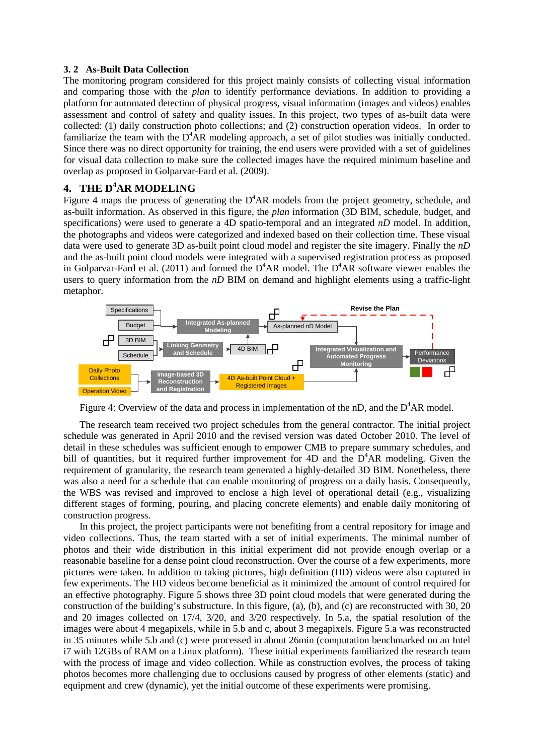#### **3. 2 As-Built Data Collection**

The monitoring program considered for this project mainly consists of collecting visual information and comparing those with the *plan* to identify performance deviations. In addition to providing a platform for automated detection of physical progress, visual information (images and videos) enables assessment and control of safety and quality issues. In this project, two types of as-built data were collected: (1) daily construction photo collections; and (2) construction operation videos. In order to familiarize the team with the  $D^4AR$  modeling approach, a set of pilot studies was initially conducted. Since there was no direct opportunity for training, the end users were provided with a set of guidelines for visual data collection to make sure the collected images have the required minimum baseline and overlap as proposed in Golparvar-Fard et al. (2009).

# **4. THE D4 AR MODELING**

Figure 4 maps the process of generating the  $D^4AR$  models from the project geometry, schedule, and as-built information. As observed in this figure, the *plan* information (3D BIM, schedule, budget, and specifications) were used to generate a 4D spatio-temporal and an integrated *nD* model. In addition, the photographs and videos were categorized and indexed based on their collection time. These visual data were used to generate 3D as-built point cloud model and register the site imagery. Finally the *nD* and the as-built point cloud models were integrated with a supervised registration process as proposed in Golparvar-Fard et al. (2011) and formed the  $D^4AR$  model. The  $D^4AR$  software viewer enables the users to query information from the *nD* BIM on demand and highlight elements using a traffic-light metaphor.



Figure 4: Overview of the data and process in implementation of the  $nD$ , and the  $D^4AR$  model.

The research team received two project schedules from the general contractor. The initial project schedule was generated in April 2010 and the revised version was dated October 2010. The level of detail in these schedules was sufficient enough to empower CMB to prepare summary schedules, and bill of quantities, but it required further improvement for  $4D$  and the  $D^4AR$  modeling. Given the requirement of granularity, the research team generated a highly-detailed 3D BIM. Nonetheless, there was also a need for a schedule that can enable monitoring of progress on a daily basis. Consequently, the WBS was revised and improved to enclose a high level of operational detail (e.g., visualizing different stages of forming, pouring, and placing concrete elements) and enable daily monitoring of construction progress.

In this project, the project participants were not benefiting from a central repository for image and video collections. Thus, the team started with a set of initial experiments. The minimal number of photos and their wide distribution in this initial experiment did not provide enough overlap or a reasonable baseline for a dense point cloud reconstruction. Over the course of a few experiments, more pictures were taken. In addition to taking pictures, high definition (HD) videos were also captured in few experiments. The HD videos become beneficial as it minimized the amount of control required for an effective photography. Figure 5 shows three 3D point cloud models that were generated during the construction of the building's substructure. In this figure, (a), (b), and (c) are reconstructed with 30, 20 and 20 images collected on 17/4, 3/20, and 3/20 respectively. In 5.a, the spatial resolution of the images were about 4 megapixels, while in 5.b and c, about 3 megapixels. Figure 5.a was reconstructed in 35 minutes while 5.b and (c) were processed in about 26min (computation benchmarked on an Intel i7 with 12GBs of RAM on a Linux platform). These initial experiments familiarized the research team with the process of image and video collection. While as construction evolves, the process of taking photos becomes more challenging due to occlusions caused by progress of other elements (static) and equipment and crew (dynamic), yet the initial outcome of these experiments were promising.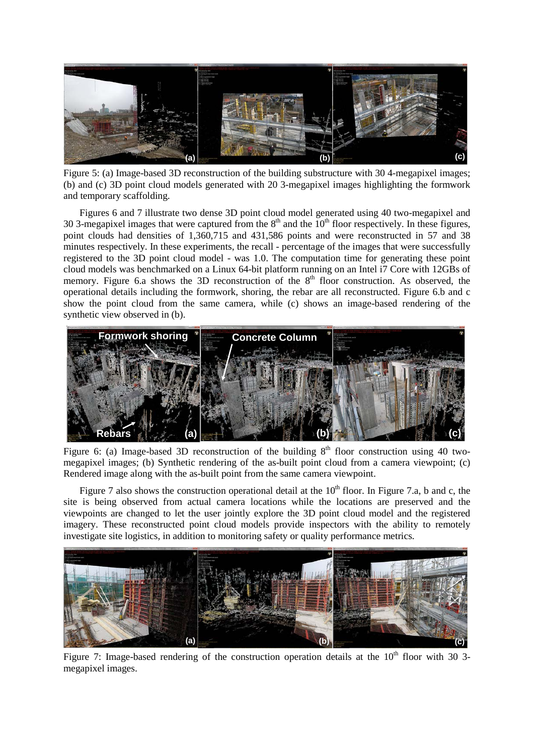

Figure 5: (a) Image-based 3D reconstruction of the building substructure with 30 4-megapixel images; (b) and (c) 3D point cloud models generated with 20 3-megapixel images highlighting the formwork and temporary scaffolding.

Figures 6 and 7 illustrate two dense 3D point cloud model generated using 40 two-megapixel and 30 3-megapixel images that were captured from the  $8<sup>th</sup>$  and the  $10<sup>th</sup>$  floor respectively. In these figures, point clouds had densities of 1,360,715 and 431,586 points and were reconstructed in 57 and 38 minutes respectively. In these experiments, the recall - percentage of the images that were successfully registered to the 3D point cloud model - was 1.0. The computation time for generating these point cloud models was benchmarked on a Linux 64-bit platform running on an Intel i7 Core with 12GBs of memory. Figure 6.a shows the 3D reconstruction of the  $8<sup>th</sup>$  floor construction. As observed, the operational details including the formwork, shoring, the rebar are all reconstructed. Figure 6.b and c show the point cloud from the same camera, while (c) shows an image-based rendering of the synthetic view observed in (b).



Figure 6: (a) Image-based 3D reconstruction of the building  $8<sup>th</sup>$  floor construction using 40 twomegapixel images; (b) Synthetic rendering of the as-built point cloud from a camera viewpoint; (c) Rendered image along with the as-built point from the same camera viewpoint.

Figure 7 also shows the construction operational detail at the  $10<sup>th</sup>$  floor. In Figure 7.a, b and c, the site is being observed from actual camera locations while the locations are preserved and the viewpoints are changed to let the user jointly explore the 3D point cloud model and the registered imagery. These reconstructed point cloud models provide inspectors with the ability to remotely investigate site logistics, in addition to monitoring safety or quality performance metrics.



Figure 7: Image-based rendering of the construction operation details at the  $10<sup>th</sup>$  floor with 30 3megapixel images.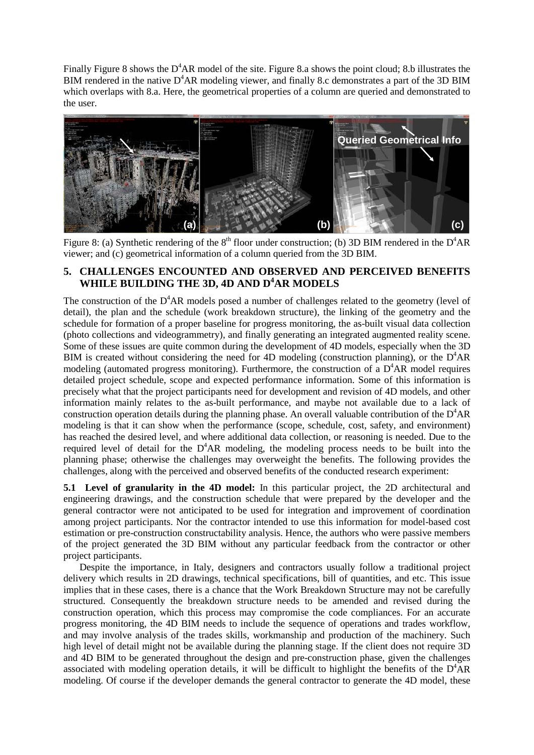Finally Figure 8 shows the  $D^4AR$  model of the site. Figure 8.a shows the point cloud; 8.b illustrates the BIM rendered in the native  $D^4AR$  modeling viewer, and finally 8.c demonstrates a part of the 3D BIM which overlaps with 8.a. Here, the geometrical properties of a column are queried and demonstrated to the user.



Figure 8: (a) Synthetic rendering of the  $8<sup>th</sup>$  floor under construction; (b) 3D BIM rendered in the D<sup>4</sup>AR viewer; and (c) geometrical information of a column queried from the 3D BIM.

# **5. CHALLENGES ENCOUNTED AND OBSERVED AND PERCEIVED BENEFITS**  WHILE BUILDING THE 3D, 4D AND D<sup>4</sup>AR MODELS

The construction of the  $D^4AR$  models posed a number of challenges related to the geometry (level of detail), the plan and the schedule (work breakdown structure), the linking of the geometry and the schedule for formation of a proper baseline for progress monitoring, the as-built visual data collection (photo collections and videogrammetry), and finally generating an integrated augmented reality scene. Some of these issues are quite common during the development of 4D models, especially when the 3D BIM is created without considering the need for 4D modeling (construction planning), or the  $D^4AR$ modeling (automated progress monitoring). Furthermore, the construction of a  $D<sup>4</sup>AR$  model requires detailed project schedule, scope and expected performance information. Some of this information is precisely what that the project participants need for development and revision of 4D models, and other information mainly relates to the as-built performance, and maybe not available due to a lack of construction operation details during the planning phase. An overall valuable contribution of the  $D^4AR$ modeling is that it can show when the performance (scope, schedule, cost, safety, and environment) has reached the desired level, and where additional data collection, or reasoning is needed. Due to the required level of detail for the  $D^4AR$  modeling, the modeling process needs to be built into the planning phase; otherwise the challenges may overweight the benefits. The following provides the challenges, along with the perceived and observed benefits of the conducted research experiment:

**5.1 Level of granularity in the 4D model:** In this particular project, the 2D architectural and engineering drawings, and the construction schedule that were prepared by the developer and the general contractor were not anticipated to be used for integration and improvement of coordination among project participants. Nor the contractor intended to use this information for model-based cost estimation or pre-construction constructability analysis. Hence, the authors who were passive members of the project generated the 3D BIM without any particular feedback from the contractor or other project participants.

Despite the importance, in Italy, designers and contractors usually follow a traditional project delivery which results in 2D drawings, technical specifications, bill of quantities, and etc. This issue implies that in these cases, there is a chance that the Work Breakdown Structure may not be carefully structured. Consequently the breakdown structure needs to be amended and revised during the construction operation, which this process may compromise the code compliances. For an accurate progress monitoring, the 4D BIM needs to include the sequence of operations and trades workflow, and may involve analysis of the trades skills, workmanship and production of the machinery. Such high level of detail might not be available during the planning stage. If the client does not require 3D and 4D BIM to be generated throughout the design and pre-construction phase, given the challenges associated with modeling operation details, it will be difficult to highlight the benefits of the  $D^4AR$ modeling. Of course if the developer demands the general contractor to generate the 4D model, these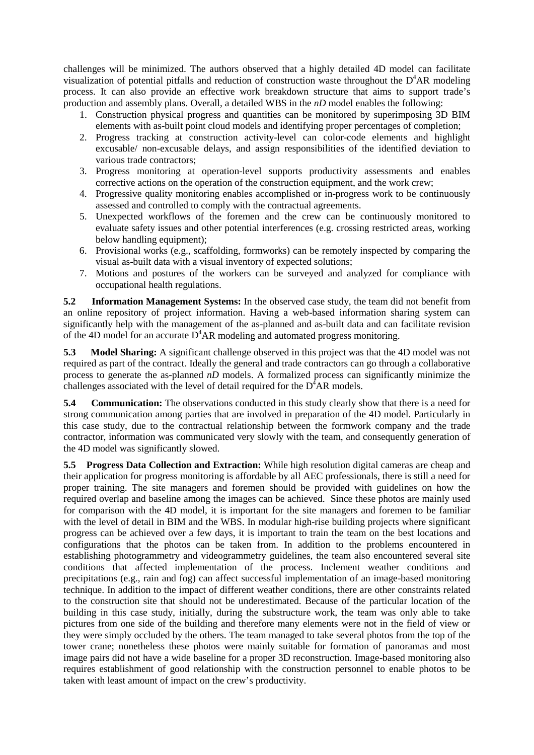challenges will be minimized. The authors observed that a highly detailed 4D model can facilitate visualization of potential pitfalls and reduction of construction waste throughout the  $D^4AR$  modeling process. It can also provide an effective work breakdown structure that aims to support trade's production and assembly plans. Overall, a detailed WBS in the *nD* model enables the following:

- 1. Construction physical progress and quantities can be monitored by superimposing 3D BIM elements with as-built point cloud models and identifying proper percentages of completion;
- 2. Progress tracking at construction activity-level can color-code elements and highlight excusable/ non-excusable delays, and assign responsibilities of the identified deviation to various trade contractors;
- 3. Progress monitoring at operation-level supports productivity assessments and enables corrective actions on the operation of the construction equipment, and the work crew;
- 4. Progressive quality monitoring enables accomplished or in-progress work to be continuously assessed and controlled to comply with the contractual agreements.
- 5. Unexpected workflows of the foremen and the crew can be continuously monitored to evaluate safety issues and other potential interferences (e.g. crossing restricted areas, working below handling equipment);
- 6. Provisional works (e.g., scaffolding, formworks) can be remotely inspected by comparing the visual as-built data with a visual inventory of expected solutions;
- 7. Motions and postures of the workers can be surveyed and analyzed for compliance with occupational health regulations.

**5.2 Information Management Systems:** In the observed case study, the team did not benefit from an online repository of project information. Having a web-based information sharing system can significantly help with the management of the as-planned and as-built data and can facilitate revision of the 4D model for an accurate  $D^4AR$  modeling and automated progress monitoring.

**5.3 Model Sharing:** A significant challenge observed in this project was that the 4D model was not required as part of the contract. Ideally the general and trade contractors can go through a collaborative process to generate the as-planned *nD* models. A formalized process can significantly minimize the challenges associated with the level of detail required for the  $D^{4}AR$  models.

**5.4 Communication:** The observations conducted in this study clearly show that there is a need for strong communication among parties that are involved in preparation of the 4D model. Particularly in this case study, due to the contractual relationship between the formwork company and the trade contractor, information was communicated very slowly with the team, and consequently generation of the 4D model was significantly slowed.

**5.5 Progress Data Collection and Extraction:** While high resolution digital cameras are cheap and their application for progress monitoring is affordable by all AEC professionals, there is still a need for proper training. The site managers and foremen should be provided with guidelines on how the required overlap and baseline among the images can be achieved. Since these photos are mainly used for comparison with the 4D model, it is important for the site managers and foremen to be familiar with the level of detail in BIM and the WBS. In modular high-rise building projects where significant progress can be achieved over a few days, it is important to train the team on the best locations and configurations that the photos can be taken from. In addition to the problems encountered in establishing photogrammetry and videogrammetry guidelines, the team also encountered several site conditions that affected implementation of the process. Inclement weather conditions and precipitations (e.g., rain and fog) can affect successful implementation of an image-based monitoring technique. In addition to the impact of different weather conditions, there are other constraints related to the construction site that should not be underestimated. Because of the particular location of the building in this case study, initially, during the substructure work, the team was only able to take pictures from one side of the building and therefore many elements were not in the field of view or they were simply occluded by the others. The team managed to take several photos from the top of the tower crane; nonetheless these photos were mainly suitable for formation of panoramas and most image pairs did not have a wide baseline for a proper 3D reconstruction. Image-based monitoring also requires establishment of good relationship with the construction personnel to enable photos to be taken with least amount of impact on the crew's productivity.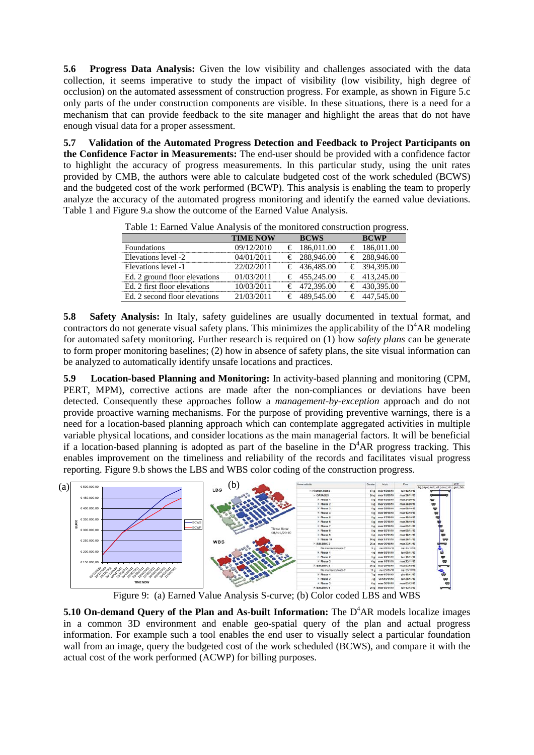**5.6 Progress Data Analysis:** Given the low visibility and challenges associated with the data collection, it seems imperative to study the impact of visibility (low visibility, high degree of occlusion) on the automated assessment of construction progress. For example, as shown in Figure 5.c only parts of the under construction components are visible. In these situations, there is a need for a mechanism that can provide feedback to the site manager and highlight the areas that do not have enough visual data for a proper assessment.

**5.7 Validation of the Automated Progress Detection and Feedback to Project Participants on the Confidence Factor in Measurements:** The end-user should be provided with a confidence factor to highlight the accuracy of progress measurements. In this particular study, using the unit rates provided by CMB, the authors were able to calculate budgeted cost of the work scheduled (BCWS) and the budgeted cost of the work performed (BCWP). This analysis is enabling the team to properly analyze the accuracy of the automated progress monitoring and identify the earned value deviations. Table 1 and Figure 9.a show the outcome of the Earned Value Analysis.

| Tuble 1. Barnea Value / final yors of the monitorea construction progress. |                 |                       |                       |
|----------------------------------------------------------------------------|-----------------|-----------------------|-----------------------|
|                                                                            | <b>TIME NOW</b> | <b>BCWS</b>           | <b>BCWP</b>           |
| <b>Foundations</b>                                                         | 09/12/2010      | $\epsilon$ 186,011.00 | $\epsilon$ 186,011.00 |
| Elevations level -2                                                        | 04/01/2011      | € 288,946.00          | € 288,946.00          |
| Elevations level -1                                                        | 22/02/2011      | € 436,485.00          | € 394,395.00          |
| Ed. 2 ground floor elevations                                              | 01/03/2011      | $\epsilon$ 455,245.00 | $\epsilon$ 413.245.00 |
| Ed. 2 first floor elevations                                               | 10/03/2011      | € 472,395.00          | € 430,395.00          |
| Ed. 2 second floor elevations                                              | 21/03/2011      | € 489,545.00          | € 447,545.00          |

Table 1: Earned Value Analysis of the monitored construction progress.

**5.8 Safety Analysis:** In Italy, safety guidelines are usually documented in textual format, and contractors do not generate visual safety plans. This minimizes the applicability of the  $D^4AR$  modeling for automated safety monitoring. Further research is required on (1) how *safety plans* can be generate to form proper monitoring baselines; (2) how in absence of safety plans, the site visual information can be analyzed to automatically identify unsafe locations and practices.

**5.9 Location-based Planning and Monitoring:** In activity-based planning and monitoring (CPM, PERT, MPM), corrective actions are made after the non-compliances or deviations have been detected. Consequently these approaches follow a *management-by-exception* approach and do not provide proactive warning mechanisms. For the purpose of providing preventive warnings, there is a need for a location-based planning approach which can contemplate aggregated activities in multiple variable physical locations, and consider locations as the main managerial factors. It will be beneficial if a location-based planning is adopted as part of the baseline in the  $D^4AR$  progress tracking. This enables improvement on the timeliness and reliability of the records and facilitates visual progress reporting. Figure 9.b shows the LBS and WBS color coding of the construction progress.



Figure 9: (a) Earned Value Analysis S-curve; (b) Color coded LBS and WBS

**5.10 On-demand Query of the Plan and As-built Information:** The D<sup>4</sup>AR models localize images in a common 3D environment and enable geo-spatial query of the plan and actual progress information. For example such a tool enables the end user to visually select a particular foundation wall from an image, query the budgeted cost of the work scheduled (BCWS), and compare it with the actual cost of the work performed (ACWP) for billing purposes.